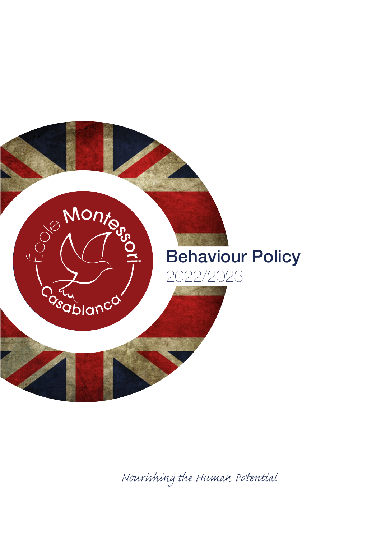

*Nourishing the Human Pential*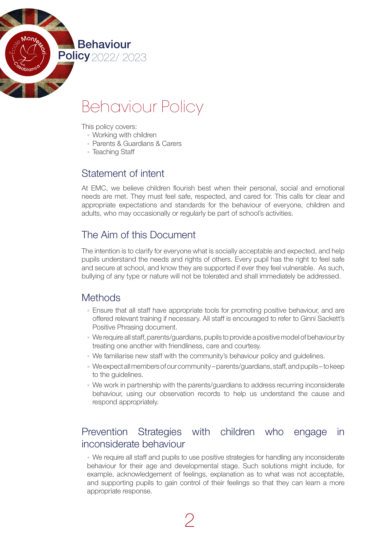

# Behaviour Policy

This policy covers:

- Working with children
- Parents & Guardians & Carers
- Teaching Staff

## Statement of intent

At EMC, we believe children flourish best when their personal, social and emotional needs are met. They must feel safe, respected, and cared for. This calls for clear and appropriate expectations and standards for the behaviour of everyone, children and adults, who may occasionally or regularly be part of school's activities.

# The Aim of this Document

The intention is to clarify for everyone what is socially acceptable and expected, and help pupils understand the needs and rights of others. Every pupil has the right to feel safe and secure at school, and know they are supported if ever they feel vulnerable. As such, bullying of any type or nature will not be tolerated and shall immediately be addressed.

## **Methods**

- Ensure that all staff have appropriate tools for promoting positive behaviour, and are offered relevant training if necessary. All staff is encouraged to refer to Ginni Sackett's Positive Phrasing document.
- We require all staff, parents/guardians, pupils to provide a positive model of behaviour by treating one another with friendliness, care and courtesy.
- We familiarise new staff with the community's behaviour policy and guidelines.
- We expect all members of our community parents/guardians, staff, and pupils to keep to the guidelines.
- We work in partnership with the parents/guardians to address recurring inconsiderate behaviour, using our observation records to help us understand the cause and respond appropriately.

## Prevention Strategies with children who engage in inconsiderate behaviour

• We require all staff and pupils to use positive strategies for handling any inconsiderate behaviour for their age and developmental stage. Such solutions might include, for example, acknowledgement of feelings, explanation as to what was not acceptable, and supporting pupils to gain control of their feelings so that they can learn a more appropriate response.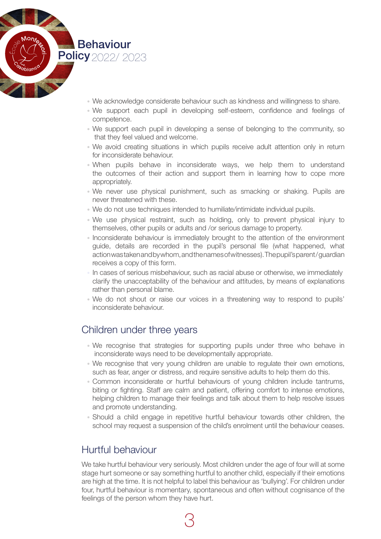

- We acknowledge considerate behaviour such as kindness and willingness to share.
- We support each pupil in developing self-esteem, confidence and feelings of competence.
- We support each pupil in developing a sense of belonging to the community, so that they feel valued and welcome.
- We avoid creating situations in which pupils receive adult attention only in return for inconsiderate behaviour.
- When pupils behave in inconsiderate ways, we help them to understand the outcomes of their action and support them in learning how to cope more appropriately.
- We never use physical punishment, such as smacking or shaking. Pupils are never threatened with these.
- We do not use techniques intended to humiliate/intimidate individual pupils.
- We use physical restraint, such as holding, only to prevent physical injury to themselves, other pupils or adults and /or serious damage to property.
- Inconsiderate behaviour is immediately brought to the attention of the environment guide, details are recorded in the pupil's personal file (what happened, what action was taken and by whom, and the names of witnesses). The pupil's parent / guardian receives a copy of this form.
- In cases of serious misbehaviour, such as racial abuse or otherwise, we immediately clarify the unacceptability of the behaviour and attitudes, by means of explanations rather than personal blame.
- We do not shout or raise our voices in a threatening way to respond to pupils' inconsiderate behaviour.

## Children under three years

- We recognise that strategies for supporting pupils under three who behave in inconsiderate ways need to be developmentally appropriate.
- We recognise that very young children are unable to regulate their own emotions, such as fear, anger or distress, and require sensitive adults to help them do this.
- Common inconsiderate or hurtful behaviours of young children include tantrums, biting or fighting. Staff are calm and patient, offering comfort to intense emotions, helping children to manage their feelings and talk about them to help resolve issues and promote understanding.
- Should a child engage in repetitive hurtful behaviour towards other children, the school may request a suspension of the child's enrolment until the behaviour ceases.

## Hurtful behaviour

We take hurtful behaviour very seriously. Most children under the age of four will at some stage hurt someone or say something hurtful to another child, especially if their emotions are high at the time. It is not helpful to label this behaviour as 'bullying'. For children under four, hurtful behaviour is momentary, spontaneous and often without cognisance of the feelings of the person whom they have hurt.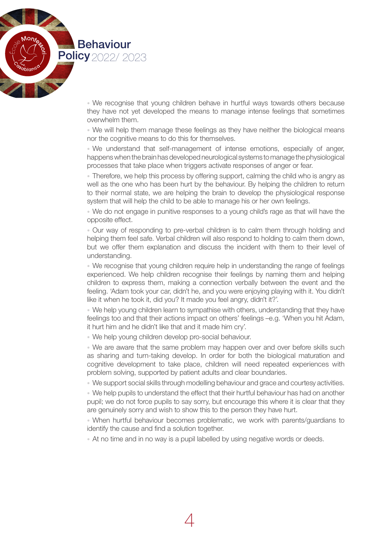

• We recognise that young children behave in hurtful ways towards others because they have not yet developed the means to manage intense feelings that sometimes overwhelm them.

• We will help them manage these feelings as they have neither the biological means nor the cognitive means to do this for themselves.

• We understand that self-management of intense emotions, especially of anger, happens when the brain has developed neurological systems to manage the physiological processes that take place when triggers activate responses of anger or fear.

• Therefore, we help this process by offering support, calming the child who is angry as well as the one who has been hurt by the behaviour. By helping the children to return to their normal state, we are helping the brain to develop the physiological response system that will help the child to be able to manage his or her own feelings.

• We do not engage in punitive responses to a young child's rage as that will have the opposite effect.

• Our way of responding to pre-verbal children is to calm them through holding and helping them feel safe. Verbal children will also respond to holding to calm them down, but we offer them explanation and discuss the incident with them to their level of understanding.

• We recognise that young children require help in understanding the range of feelings experienced. We help children recognise their feelings by naming them and helping children to express them, making a connection verbally between the event and the feeling. 'Adam took your car, didn't he, and you were enjoying playing with it. You didn't like it when he took it, did you? It made you feel angry, didn't it?'.

• We help young children learn to sympathise with others, understanding that they have feelings too and that their actions impact on others' feelings –e.g. 'When you hit Adam, it hurt him and he didn't like that and it made him cry'.

• We help young children develop pro-social behaviour.

• We are aware that the same problem may happen over and over before skills such as sharing and turn-taking develop. In order for both the biological maturation and cognitive development to take place, children will need repeated experiences with problem solving, supported by patient adults and clear boundaries.

• We support social skills through modelling behaviour and grace and courtesy activities.

• We help pupils to understand the effect that their hurtful behaviour has had on another pupil; we do not force pupils to say sorry, but encourage this where it is clear that they are genuinely sorry and wish to show this to the person they have hurt.

• When hurtful behaviour becomes problematic, we work with parents/guardians to identify the cause and find a solution together.

• At no time and in no way is a pupil labelled by using negative words or deeds.

4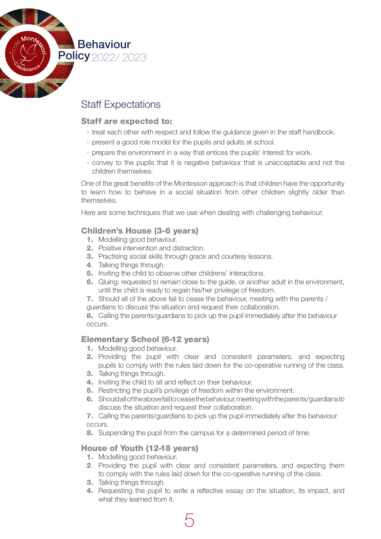

# Staff Expectations

#### Staff are expected to:

- treat each other with respect and follow the guidance given in the staff handbook.
- present a good role model for the pupils and adults at school.
- prepare the environment in a way that entices the pupils' interest for work.
- convey to the pupils that it is negative behaviour that is unacceptable and not the children themselves.

One of the great benefits of the Montessori approach is that children have the opportunity to learn how to behave in a social situation from other children slightly older than themselves.

Here are some techniques that we use when dealing with challenging behaviour:

#### Children's House (3-6 years)

- 1. Modelling good behaviour.
- 2. Positive intervention and distraction.
- **3.** Practising social skills through grace and courtesy lessons.
- 4. Talking things through.
- 5. Inviting the child to observe other childrens' interactions.
- 6. Gluing: requested to remain close to the guide, or another adult in the environment, until the child is ready to regain his/her privilege of freedom.
- 7. Should all of the above fail to cease the behaviour, meeting with the parents / guardians to discuss the situation and request their collaboration.

8. Calling the parents/guardians to pick up the pupil immediately after the behaviour occurs.

#### Elementary School (6-12 years)

- 1. Modelling good behaviour.
- 2. Providing the pupil with clear and consistent parameters, and expecting pupils to comply with the rules laid down for the co-operative running of the class.
- 3. Talking things through.
- 4. Inviting the child to sit and reflect on their behaviour.
- 5. Restricting the pupil's privilege of freedom within the environment.
- 6. Should all of the above fail to cease the behaviour, meeting with the parents/guardians to discuss the situation and request their collaboration.

7. Calling the parents/guardians to pick up the pupil immediately after the behaviour occurs.

8. Suspending the pupil from the campus for a determined period of time.

#### House of Youth (12-18 years)

- 1. Modelling good behaviour.
- 2. Providing the pupil with clear and consistent parameters, and expecting them to comply with the rules laid down for the co-operative running of the class.
- 3. Talking things through.
- 4. Requesting the pupil to write a reflective essay on the situation, its impact, and what they learned from it.